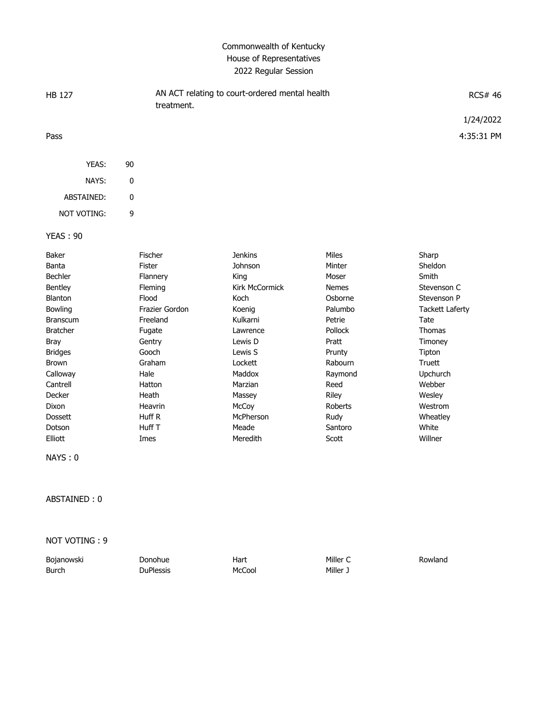## Commonwealth of Kentucky House of Representatives 2022 Regular Session

| HB 127     |    | AN ACT relating to court-ordered mental health<br>treatment. | <b>RCS# 46</b> |
|------------|----|--------------------------------------------------------------|----------------|
|            |    |                                                              | 1/24/2022      |
| Pass       |    |                                                              | 4:35:31 PM     |
| YEAS:      | 90 |                                                              |                |
| NAYS:      | 0  |                                                              |                |
| ABSTAINED: | 0  |                                                              |                |

YEAS : 90

NOT VOTING: 9

| Baker           | Fischer        | Jenkins        | Miles          | Sharp           |
|-----------------|----------------|----------------|----------------|-----------------|
| Banta           | Fister         | Johnson        | Minter         | Sheldon         |
| <b>Bechler</b>  | Flannery       | King           | Moser          | Smith           |
| <b>Bentley</b>  | Fleming        | Kirk McCormick | <b>Nemes</b>   | Stevenson C     |
| Blanton         | Flood          | Koch           | Osborne        | Stevenson P     |
| <b>Bowling</b>  | Frazier Gordon | Koenig         | Palumbo        | Tackett Laferty |
| <b>Branscum</b> | Freeland       | Kulkarni       | Petrie         | Tate            |
| <b>Bratcher</b> | Fugate         | Lawrence       | <b>Pollock</b> | Thomas          |
| Bray            | Gentry         | Lewis D        | Pratt          | Timoney         |
| <b>Bridges</b>  | Gooch          | Lewis S        | Prunty         | Tipton          |
| Brown           | Graham         | Lockett        | Rabourn        | Truett          |
| Calloway        | Hale           | Maddox         | Raymond        | Upchurch        |
| Cantrell        | Hatton         | Marzian        | Reed           | Webber          |
| Decker          | Heath          | Massey         | Riley          | Wesley          |
| Dixon           | Heavrin        | McCoy          | Roberts        | Westrom         |
| <b>Dossett</b>  | Huff R         | McPherson      | Rudy           | Wheatley        |
| Dotson          | Huff T         | Meade          | Santoro        | White           |
| Elliott         | Imes           | Meredith       | Scott          | Willner         |

NAYS : 0

ABSTAINED : 0

NOT VOTING : 9

| Bojanowski | Donohue          | Hart   | Miller C | Rowland |
|------------|------------------|--------|----------|---------|
| Burch      | <b>DuPlessis</b> | McCool | ر Miller |         |